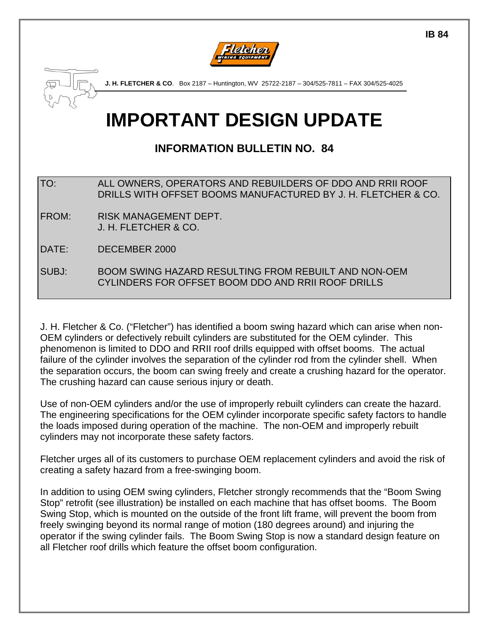



**J. H. FLETCHER & CO**. Box 2187 – Huntington, WV 25722-2187 – 304/525-7811 – FAX 304/525-4025

# **IMPORTANT DESIGN UPDATE**

# **INFORMATION BULLETIN NO. 84**

TO: ALL OWNERS, OPERATORS AND REBUILDERS OF DDO AND RRII ROOF DRILLS WITH OFFSET BOOMS MANUFACTURED BY J. H. FLETCHER & CO.

FROM: RISK MANAGEMENT DEPT. J. H. FLETCHER & CO.

DATE: DECEMBER 2000

SUBJ: BOOM SWING HAZARD RESULTING FROM REBUILT AND NON-OEM CYLINDERS FOR OFFSET BOOM DDO AND RRII ROOF DRILLS

J. H. Fletcher & Co. ("Fletcher") has identified a boom swing hazard which can arise when non-OEM cylinders or defectively rebuilt cylinders are substituted for the OEM cylinder. This phenomenon is limited to DDO and RRII roof drills equipped with offset booms. The actual failure of the cylinder involves the separation of the cylinder rod from the cylinder shell. When the separation occurs, the boom can swing freely and create a crushing hazard for the operator. The crushing hazard can cause serious injury or death.

Use of non-OEM cylinders and/or the use of improperly rebuilt cylinders can create the hazard. The engineering specifications for the OEM cylinder incorporate specific safety factors to handle the loads imposed during operation of the machine. The non-OEM and improperly rebuilt cylinders may not incorporate these safety factors.

Fletcher urges all of its customers to purchase OEM replacement cylinders and avoid the risk of creating a safety hazard from a free-swinging boom.

In addition to using OEM swing cylinders, Fletcher strongly recommends that the "Boom Swing Stop" retrofit (see illustration) be installed on each machine that has offset booms. The Boom Swing Stop, which is mounted on the outside of the front lift frame, will prevent the boom from freely swinging beyond its normal range of motion (180 degrees around) and injuring the operator if the swing cylinder fails. The Boom Swing Stop is now a standard design feature on all Fletcher roof drills which feature the offset boom configuration.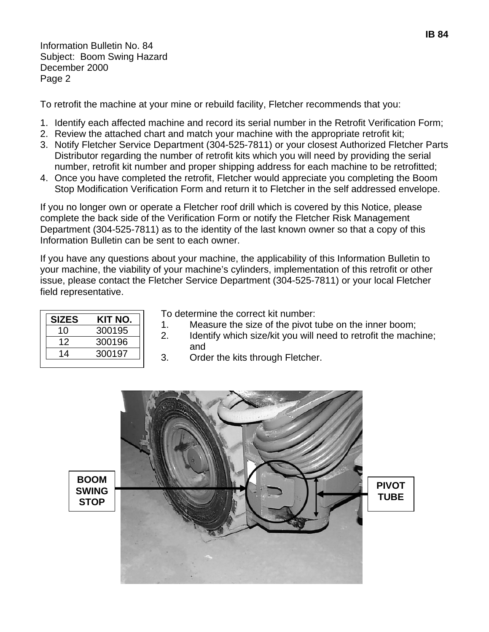Information Bulletin No. 84 Subject: Boom Swing Hazard December 2000 Page 2

To retrofit the machine at your mine or rebuild facility, Fletcher recommends that you:

- 1. Identify each affected machine and record its serial number in the Retrofit Verification Form;
- 2. Review the attached chart and match your machine with the appropriate retrofit kit;
- 3. Notify Fletcher Service Department (304-525-7811) or your closest Authorized Fletcher Parts Distributor regarding the number of retrofit kits which you will need by providing the serial number, retrofit kit number and proper shipping address for each machine to be retrofitted;
- 4. Once you have completed the retrofit, Fletcher would appreciate you completing the Boom Stop Modification Verification Form and return it to Fletcher in the self addressed envelope.

If you no longer own or operate a Fletcher roof drill which is covered by this Notice, please complete the back side of the Verification Form or notify the Fletcher Risk Management Department (304-525-7811) as to the identity of the last known owner so that a copy of this Information Bulletin can be sent to each owner.

If you have any questions about your machine, the applicability of this Information Bulletin to your machine, the viability of your machine's cylinders, implementation of this retrofit or other issue, please contact the Fletcher Service Department (304-525-7811) or your local Fletcher field representative.

| KIT NO. |
|---------|
| 300195  |
| 300196  |
| 300197  |
|         |

To determine the correct kit number:<br>1. Measure the size of the pivot t

- Measure the size of the pivot tube on the inner boom;
- 2. Identify which size/kit you will need to retrofit the machine; and
- 3. Order the kits through Fletcher.

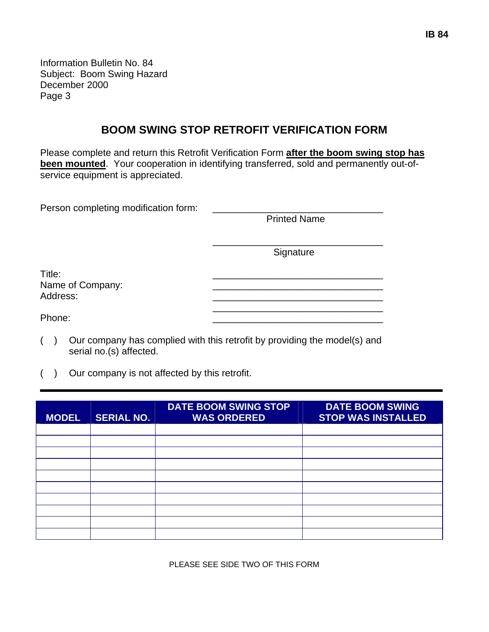Information Bulletin No. 84 Subject: Boom Swing Hazard December 2000 Page 3

### **BOOM SWING STOP RETROFIT VERIFICATION FORM**

Please complete and return this Retrofit Verification Form **after the boom swing stop has been mounted**. Your cooperation in identifying transferred, sold and permanently out-ofservice equipment is appreciated.

Person completing modification form:

Printed Name

Signature

Title: \_\_\_\_\_\_\_\_\_\_\_\_\_\_\_\_\_\_\_\_\_\_\_\_\_\_\_\_\_\_\_\_ Name of Company: Address: \_\_\_\_\_\_\_\_\_\_\_\_\_\_\_\_\_\_\_\_\_\_\_\_\_\_\_\_\_\_\_\_

Phone:  $\blacksquare$ 

( ) Our company has complied with this retrofit by providing the model(s) and serial no.(s) affected.

 $\overline{\phantom{a}}$  , and the contract of the contract of the contract of the contract of the contract of the contract of the contract of the contract of the contract of the contract of the contract of the contract of the contrac

( ) Our company is not affected by this retrofit.

| <b>MODEL</b> | <b>SERIAL NO.</b> | <b>DATE BOOM SWING STOP</b><br><b>WAS ORDERED</b> | <b>DATE BOOM SWING</b><br><b>STOP WAS INSTALLED</b> |
|--------------|-------------------|---------------------------------------------------|-----------------------------------------------------|
|              |                   |                                                   |                                                     |
|              |                   |                                                   |                                                     |
|              |                   |                                                   |                                                     |
|              |                   |                                                   |                                                     |
|              |                   |                                                   |                                                     |
|              |                   |                                                   |                                                     |
|              |                   |                                                   |                                                     |
|              |                   |                                                   |                                                     |
|              |                   |                                                   |                                                     |
|              |                   |                                                   |                                                     |

PLEASE SEE SIDE TWO OF THIS FORM